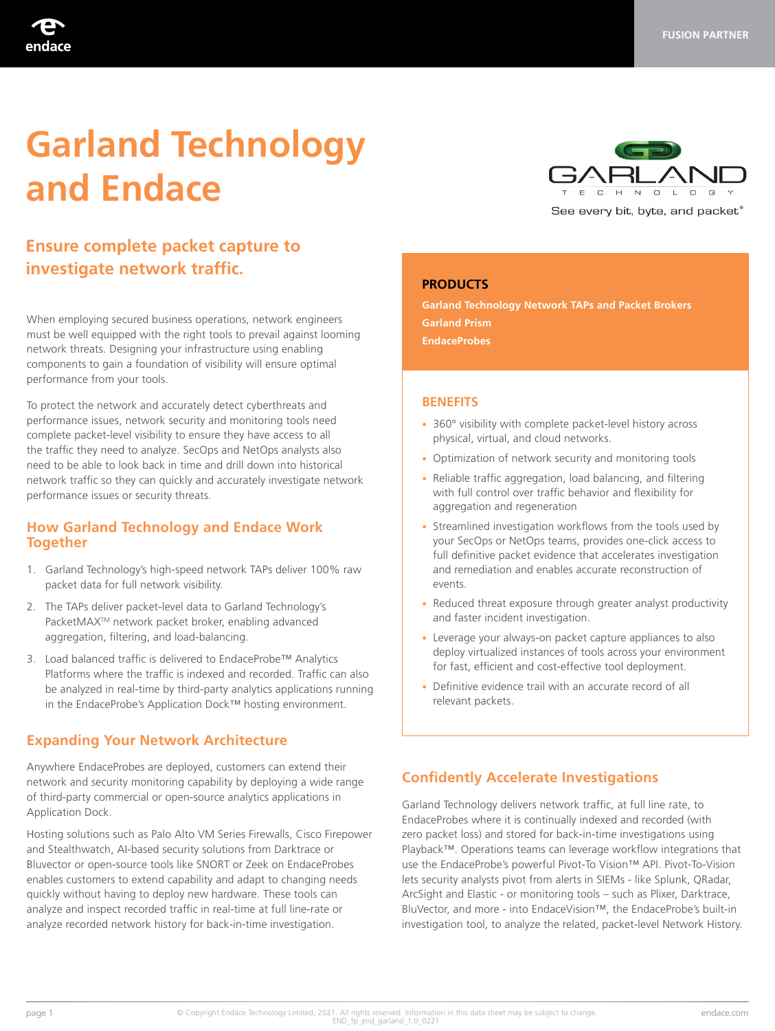# **Garland Technology and Endace**

## **Ensure complete packet capture to investigate network traffic.**

When employing secured business operations, network engineers must be well equipped with the right tools to prevail against looming network threats. Designing your infrastructure using enabling components to gain a foundation of visibility will ensure optimal performance from your tools.

To protect the network and accurately detect cyberthreats and performance issues, network security and monitoring tools need complete packet-level visibility to ensure they have access to all the traffic they need to analyze. SecOps and NetOps analysts also need to be able to look back in time and drill down into historical network traffic so they can quickly and accurately investigate network performance issues or security threats.

#### **How Garland Technology and Endace Work Together**

- 1. Garland Technology's high-speed network TAPs deliver 100% raw packet data for full network visibility.
- 2. The TAPs deliver packet-level data to Garland Technology's PacketMAXTM network packet broker, enabling advanced aggregation, filtering, and load-balancing.
- 3. Load balanced traffic is delivered to EndaceProbe™ Analytics Platforms where the traffic is indexed and recorded. Traffic can also be analyzed in real-time by third-party analytics applications running in the EndaceProbe's Application Dock™ hosting environment.

## **Expanding Your Network Architecture**

Anywhere EndaceProbes are deployed, customers can extend their network and security monitoring capability by deploying a wide range of third-party commercial or open-source analytics applications in Application Dock.

Hosting solutions such as Palo Alto VM Series Firewalls, Cisco Firepower and Stealthwatch, AI-based security solutions from Darktrace or Bluvector or open-source tools like SNORT or Zeek on EndaceProbes enables customers to extend capability and adapt to changing needs quickly without having to deploy new hardware. These tools can analyze and inspect recorded traffic in real-time at full line-rate or analyze recorded network history for back-in-time investigation.



#### **PRODUCTS**

**Garland Technology Network TAPs and Packet Brokers Garland Prism EndaceProbes** 

#### **BENEFITS**

- 360° visibility with complete packet-level history across physical, virtual, and cloud networks.
- Optimization of network security and monitoring tools
- Reliable traffic aggregation, load balancing, and filtering with full control over traffic behavior and flexibility for aggregation and regeneration
- Streamlined investigation workflows from the tools used by your SecOps or NetOps teams, provides one-click access to full definitive packet evidence that accelerates investigation and remediation and enables accurate reconstruction of events.
- Reduced threat exposure through greater analyst productivity and faster incident investigation.
- Leverage your always-on packet capture appliances to also deploy virtualized instances of tools across your environment for fast, efficient and cost-effective tool deployment.
- Definitive evidence trail with an accurate record of all relevant packets.

## **Confidently Accelerate Investigations**

Garland Technology delivers network traffic, at full line rate, to EndaceProbes where it is continually indexed and recorded (with zero packet loss) and stored for back-in-time investigations using Playback™. Operations teams can leverage workflow integrations that use the EndaceProbe's powerful Pivot-To Vision™ API. Pivot-To-Vision lets security analysts pivot from alerts in SIEMs - like Splunk, QRadar, ArcSight and Elastic - or monitoring tools – such as Plixer, Darktrace, BluVector, and more - into EndaceVision™, the EndaceProbe's built-in investigation tool, to analyze the related, packet-level Network History.